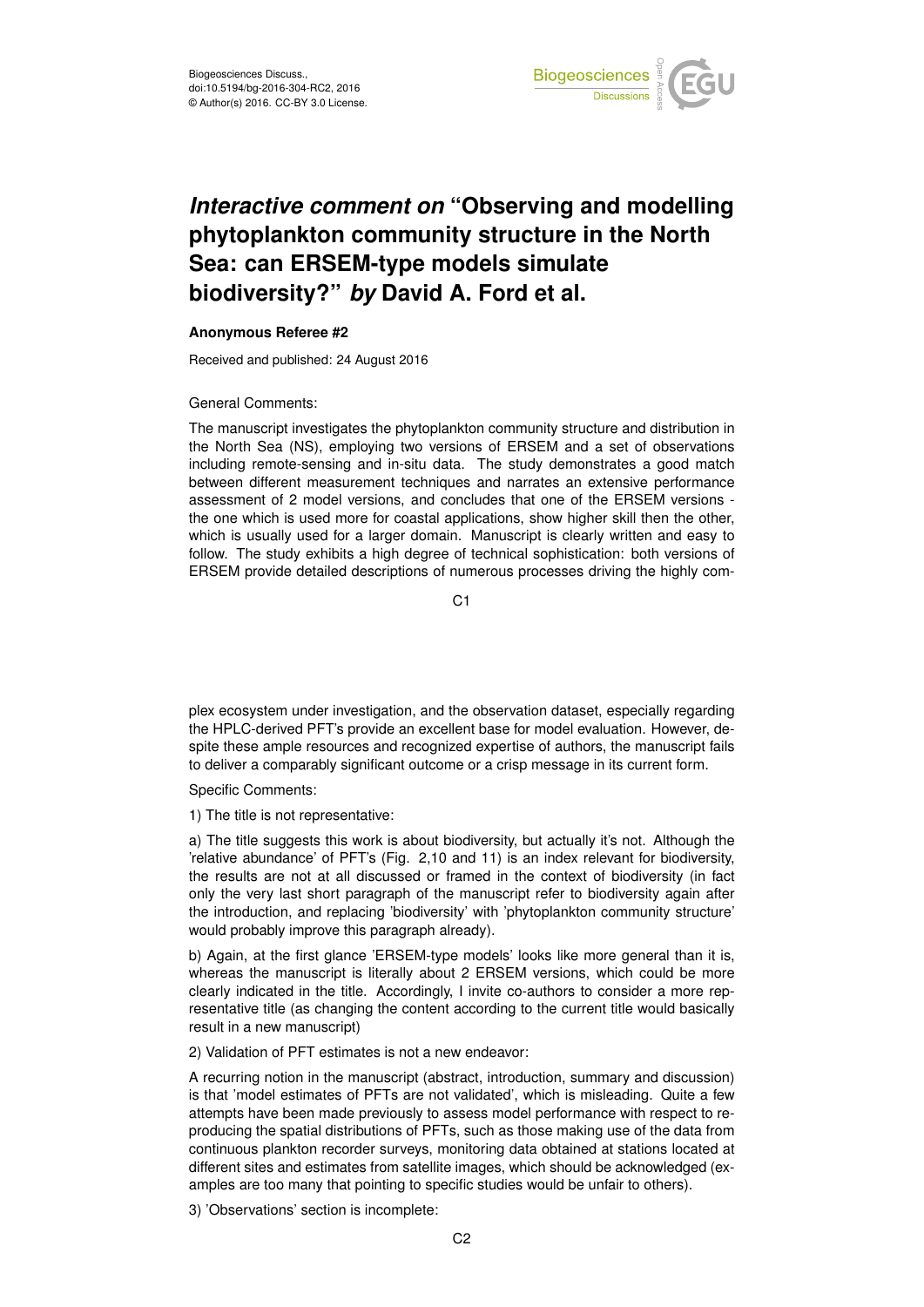

## *Interactive comment on* **"Observing and modelling phytoplankton community structure in the North Sea: can ERSEM-type models simulate biodiversity?"** *by* **David A. Ford et al.**

## **Anonymous Referee #2**

Received and published: 24 August 2016

General Comments:

The manuscript investigates the phytoplankton community structure and distribution in the North Sea (NS), employing two versions of ERSEM and a set of observations including remote-sensing and in-situ data. The study demonstrates a good match between different measurement techniques and narrates an extensive performance assessment of 2 model versions, and concludes that one of the ERSEM versions the one which is used more for coastal applications, show higher skill then the other, which is usually used for a larger domain. Manuscript is clearly written and easy to follow. The study exhibits a high degree of technical sophistication: both versions of ERSEM provide detailed descriptions of numerous processes driving the highly com-

C1

plex ecosystem under investigation, and the observation dataset, especially regarding the HPLC-derived PFT's provide an excellent base for model evaluation. However, despite these ample resources and recognized expertise of authors, the manuscript fails to deliver a comparably significant outcome or a crisp message in its current form.

Specific Comments:

1) The title is not representative:

a) The title suggests this work is about biodiversity, but actually it's not. Although the 'relative abundance' of PFT's (Fig. 2,10 and 11) is an index relevant for biodiversity, the results are not at all discussed or framed in the context of biodiversity (in fact only the very last short paragraph of the manuscript refer to biodiversity again after the introduction, and replacing 'biodiversity' with 'phytoplankton community structure' would probably improve this paragraph already).

b) Again, at the first glance 'ERSEM-type models' looks like more general than it is, whereas the manuscript is literally about 2 ERSEM versions, which could be more clearly indicated in the title. Accordingly, I invite co-authors to consider a more representative title (as changing the content according to the current title would basically result in a new manuscript)

2) Validation of PFT estimates is not a new endeavor:

A recurring notion in the manuscript (abstract, introduction, summary and discussion) is that 'model estimates of PFTs are not validated', which is misleading. Quite a few attempts have been made previously to assess model performance with respect to reproducing the spatial distributions of PFTs, such as those making use of the data from continuous plankton recorder surveys, monitoring data obtained at stations located at different sites and estimates from satellite images, which should be acknowledged (examples are too many that pointing to specific studies would be unfair to others).

3) 'Observations' section is incomplete: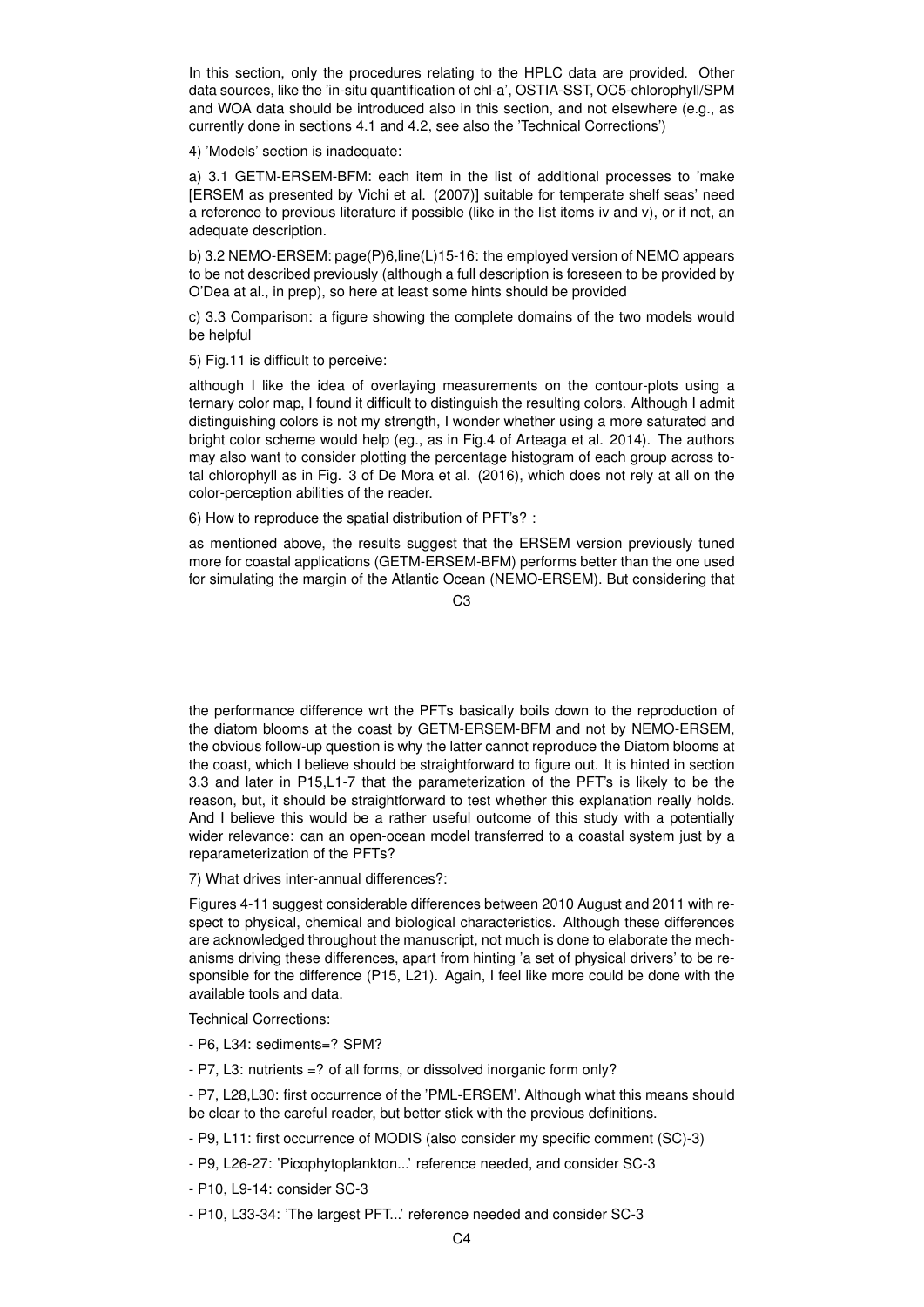In this section, only the procedures relating to the HPLC data are provided. Other data sources, like the 'in-situ quantification of chl-a', OSTIA-SST, OC5-chlorophyll/SPM and WOA data should be introduced also in this section, and not elsewhere (e.g., as currently done in sections 4.1 and 4.2, see also the 'Technical Corrections')

4) 'Models' section is inadequate:

a) 3.1 GETM-ERSEM-BFM: each item in the list of additional processes to 'make [ERSEM as presented by Vichi et al. (2007)] suitable for temperate shelf seas' need a reference to previous literature if possible (like in the list items iv and v), or if not, an adequate description.

b) 3.2 NEMO-ERSEM: page(P)6,line(L)15-16: the employed version of NEMO appears to be not described previously (although a full description is foreseen to be provided by O'Dea at al., in prep), so here at least some hints should be provided

c) 3.3 Comparison: a figure showing the complete domains of the two models would be helpful

5) Fig.11 is difficult to perceive:

although I like the idea of overlaying measurements on the contour-plots using a ternary color map, I found it difficult to distinguish the resulting colors. Although I admit distinguishing colors is not my strength, I wonder whether using a more saturated and bright color scheme would help (eg., as in Fig.4 of Arteaga et al. 2014). The authors may also want to consider plotting the percentage histogram of each group across total chlorophyll as in Fig. 3 of De Mora et al. (2016), which does not rely at all on the color-perception abilities of the reader.

6) How to reproduce the spatial distribution of PFT's? :

as mentioned above, the results suggest that the ERSEM version previously tuned more for coastal applications (GETM-ERSEM-BFM) performs better than the one used for simulating the margin of the Atlantic Ocean (NEMO-ERSEM). But considering that

 $C<sub>3</sub>$ 

the performance difference wrt the PFTs basically boils down to the reproduction of the diatom blooms at the coast by GETM-ERSEM-BFM and not by NEMO-ERSEM, the obvious follow-up question is why the latter cannot reproduce the Diatom blooms at the coast, which I believe should be straightforward to figure out. It is hinted in section 3.3 and later in P15,L1-7 that the parameterization of the PFT's is likely to be the reason, but, it should be straightforward to test whether this explanation really holds. And I believe this would be a rather useful outcome of this study with a potentially wider relevance: can an open-ocean model transferred to a coastal system just by a reparameterization of the PFTs?

7) What drives inter-annual differences?:

Figures 4-11 suggest considerable differences between 2010 August and 2011 with respect to physical, chemical and biological characteristics. Although these differences are acknowledged throughout the manuscript, not much is done to elaborate the mechanisms driving these differences, apart from hinting 'a set of physical drivers' to be responsible for the difference (P15, L21). Again, I feel like more could be done with the available tools and data.

Technical Corrections:

- P6, L34: sediments=? SPM?
- P7, L3: nutrients =? of all forms, or dissolved inorganic form only?

- P7, L28,L30: first occurrence of the 'PML-ERSEM'. Although what this means should be clear to the careful reader, but better stick with the previous definitions.

- P9, L11: first occurrence of MODIS (also consider my specific comment (SC)-3)
- P9, L26-27: 'Picophytoplankton...' reference needed, and consider SC-3
- P10, L9-14: consider SC-3
- P10, L33-34: 'The largest PFT...' reference needed and consider SC-3